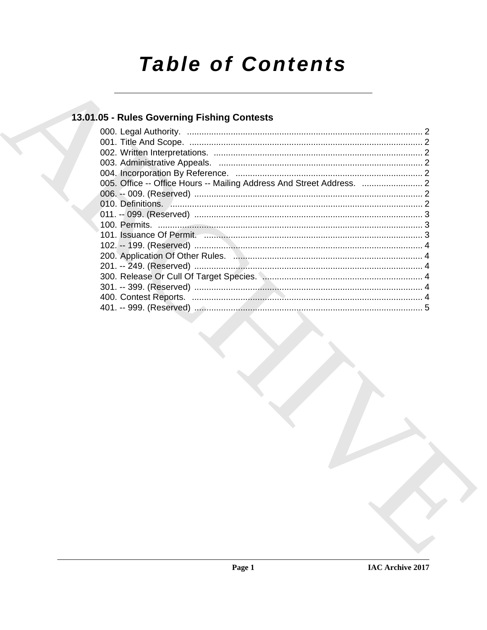# **Table of Contents**

## 13.01.05 - Rules Governing Fishing Contests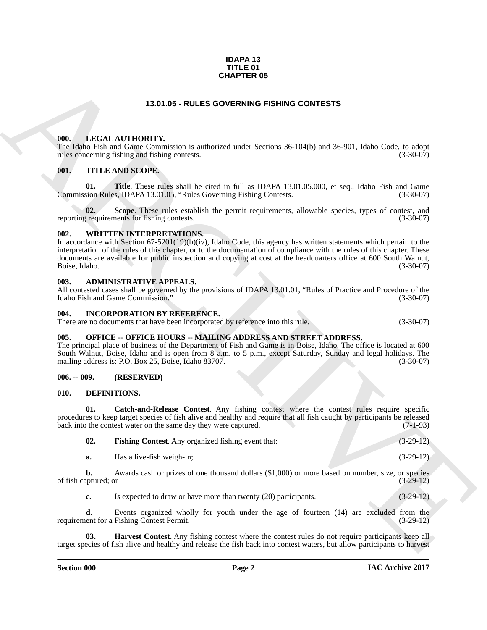### **IDAPA 13 TITLE 01 CHAPTER 05**

### **13.01.05 - RULES GOVERNING FISHING CONTESTS**

### <span id="page-1-1"></span><span id="page-1-0"></span>**000. LEGAL AUTHORITY.**

The Idaho Fish and Game Commission is authorized under Sections 36-104(b) and 36-901, Idaho Code, to adopt rules concerning fishing and fishing contests. (3-30-07) rules concerning fishing and fishing contests.

### <span id="page-1-2"></span>**001. TITLE AND SCOPE.**

**01.** Title. These rules shall be cited in full as IDAPA 13.01.05.000, et seq., Idaho Fish and Game sion Rules. IDAPA 13.01.05. "Rules Governing Fishing Contests. Commission Rules, IDAPA 13.01.05, "Rules Governing Fishing Contests.

**02.** Scope. These rules establish the permit requirements, allowable species, types of contest, and requirements for fishing contests. (3-30-07) reporting requirements for fishing contests.

### <span id="page-1-3"></span>**002. WRITTEN INTERPRETATIONS.**

**CHAPTER 05**<br> **CHARCHIVENGES GOVERNING FISHING CONTESTS**<br> **CHARCHIVENGES (1971)**<br> **CHARCHIVENGES (1972)**<br> **CHARCHIVENGES (1972)**<br> **CHARCHIVENGES (1973)**<br> **CHARCHIVENGES (1973)**<br> **CHARCHIVENGES (1973)**<br> **CHARCHIVENGES (197** In accordance with Section 67-5201(19)(b)(iv), Idaho Code, this agency has written statements which pertain to the interpretation of the rules of this chapter, or to the documentation of compliance with the rules of this chapter. These documents are available for public inspection and copying at cost at the headquarters office at 600 South Walnut,<br>Boise, Idaho. (3-30-07) Boise, Idaho. (3-30-07)

### <span id="page-1-4"></span>**003. ADMINISTRATIVE APPEALS.**

All contested cases shall be governed by the provisions of IDAPA 13.01.01, "Rules of Practice and Procedure of the Idaho Fish and Game Commission." (3-30-07) Idaho Fish and Game Commission."

### <span id="page-1-5"></span>**004. INCORPORATION BY REFERENCE.**

There are no documents that have been incorporated by reference into this rule. (3-30-07)

### <span id="page-1-6"></span>**005. OFFICE -- OFFICE HOURS -- MAILING ADDRESS AND STREET ADDRESS.**

The principal place of business of the Department of Fish and Game is in Boise, Idaho. The office is located at 600 South Walnut, Boise, Idaho and is open from 8 a.m. to 5 p.m., except Saturday, Sunday and legal holidays. The mailing address is: P.O. Box 25, Boise, Idaho 83707. (3-30-07)

### <span id="page-1-7"></span>**006. -- 009. (RESERVED)**

### <span id="page-1-9"></span><span id="page-1-8"></span>**010. DEFINITIONS.**

**01. Catch-and-Release Contest**. Any fishing contest where the contest rules require specific procedures to keep target species of fish alive and healthy and require that all fish caught by participants be released back into the contest water on the same day they were captured. (7-1-93) back into the contest water on the same day they were captured.

<span id="page-1-11"></span><span id="page-1-10"></span>

| <b>Fishing Contest.</b> Any organized fishing event that: | $(3-29-12)$ |
|-----------------------------------------------------------|-------------|
|                                                           |             |

**a.** Has a live-fish weigh-in; (3-29-12)

**b.** Awards cash or prizes of one thousand dollars (\$1,000) or more based on number, size, or species aptured; or (3-29-12) of fish captured; or

<span id="page-1-12"></span>**c.** Is expected to draw or have more than twenty (20) participants. (3-29-12)

**d.** Events organized wholly for youth under the age of fourteen (14) are excluded from the ent for a Fishing Contest Permit. (3-29-12) requirement for a Fishing Contest Permit.

**03. Harvest Contest**. Any fishing contest where the contest rules do not require participants keep all target species of fish alive and healthy and release the fish back into contest waters, but allow participants to harvest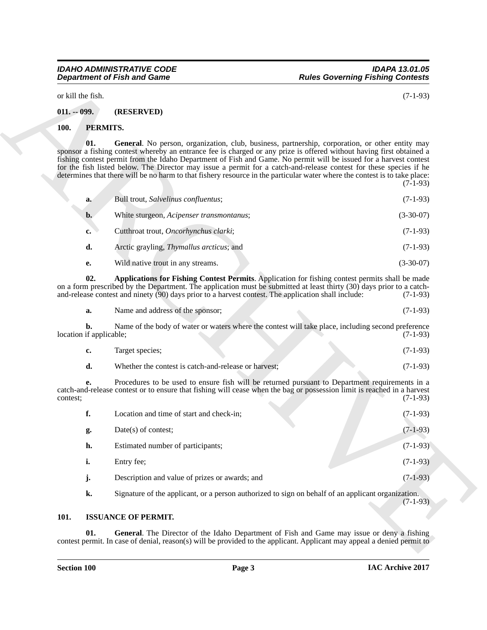# *IDAHO ADMINISTRATIVE CODE IDAPA 13.01.05*

### <span id="page-2-0"></span>**011. -- 099. (RESERVED)**

### <span id="page-2-7"></span><span id="page-2-5"></span><span id="page-2-1"></span>**100. PERMITS.**

| a.    | Bull trout, Salvelinus confluentus;      | $(7-1-93)$  |
|-------|------------------------------------------|-------------|
| $b$ . | White sturgeon, Acipenser transmontanus; | $(3-30-07)$ |
| c.    | Cutthroat trout, Oncorhynchus clarki;    | $(7-1-93)$  |
| d.    | Arctic grayling, Thymallus arcticus; and | $(7-1-93)$  |
| e.    | Wild native trout in any streams.        | $(3-30-07)$ |

<span id="page-2-6"></span>

| a. | Name and address of the sponsor; | $(7-1-93)$ |
|----|----------------------------------|------------|
|    |                                  |            |

| Target species;                                      | $(7-1-93)$ |
|------------------------------------------------------|------------|
| Whether the contest is catch-and-release or harvest: | $(7-1-93)$ |

| or kill the fish.             |                                                                                                     | $(7-1-93)$                                                                                                                                                                                                                                                                                                                                                                                                                                                                                                                                                                                                     |
|-------------------------------|-----------------------------------------------------------------------------------------------------|----------------------------------------------------------------------------------------------------------------------------------------------------------------------------------------------------------------------------------------------------------------------------------------------------------------------------------------------------------------------------------------------------------------------------------------------------------------------------------------------------------------------------------------------------------------------------------------------------------------|
| $011. - 099.$                 | (RESERVED)                                                                                          |                                                                                                                                                                                                                                                                                                                                                                                                                                                                                                                                                                                                                |
| PERMITS.<br><b>100.</b>       |                                                                                                     |                                                                                                                                                                                                                                                                                                                                                                                                                                                                                                                                                                                                                |
| 01.                           |                                                                                                     | General. No person, organization, club, business, partnership, corporation, or other entity may<br>sponsor a fishing contest whereby an entrance fee is charged or any prize is offered without having first obtained a<br>fishing contest permit from the Idaho Department of Fish and Game. No permit will be issued for a harvest contest<br>for the fish listed below. The Director may issue a permit for a catch-and-release contest for these species if he<br>determines that there will be no harm to that fishery resource in the particular water where the contest is to take place:<br>$(7-1-93)$ |
| a.                            | Bull trout, Salvelinus confluentus;                                                                 | $(7-1-93)$                                                                                                                                                                                                                                                                                                                                                                                                                                                                                                                                                                                                     |
| b.                            | White sturgeon, Acipenser transmontanus;                                                            | $(3-30-07)$                                                                                                                                                                                                                                                                                                                                                                                                                                                                                                                                                                                                    |
| c.                            | Cutthroat trout, Oncorhynchus clarki;                                                               | $(7-1-93)$                                                                                                                                                                                                                                                                                                                                                                                                                                                                                                                                                                                                     |
| d.                            | Arctic grayling, Thymallus arcticus; and                                                            | $(7-1-93)$                                                                                                                                                                                                                                                                                                                                                                                                                                                                                                                                                                                                     |
| е.                            | Wild native trout in any streams.                                                                   | $(3-30-07)$                                                                                                                                                                                                                                                                                                                                                                                                                                                                                                                                                                                                    |
| 02.                           | and-release contest and ninety (90) days prior to a harvest contest. The application shall include: | Applications for Fishing Contest Permits. Application for fishing contest permits shall be made<br>on a form prescribed by the Department. The application must be submitted at least thirty (30) days prior to a catch-<br>$(7-1-93)$                                                                                                                                                                                                                                                                                                                                                                         |
| a.                            | Name and address of the sponsor;                                                                    | $(7-1-93)$                                                                                                                                                                                                                                                                                                                                                                                                                                                                                                                                                                                                     |
| b.<br>location if applicable; |                                                                                                     | Name of the body of water or waters where the contest will take place, including second preference<br>$(7-1-93)$                                                                                                                                                                                                                                                                                                                                                                                                                                                                                               |
| c.                            | Target species;                                                                                     | $(7-1-93)$                                                                                                                                                                                                                                                                                                                                                                                                                                                                                                                                                                                                     |
| d.                            | Whether the contest is catch-and-release or harvest;                                                | $(7-1-93)$                                                                                                                                                                                                                                                                                                                                                                                                                                                                                                                                                                                                     |
| e.<br>contest;                |                                                                                                     | Procedures to be used to ensure fish will be returned pursuant to Department requirements in a<br>catch-and-release contest or to ensure that fishing will cease when the bag or possession limit is reached in a harvest<br>$(7-1-93)$                                                                                                                                                                                                                                                                                                                                                                        |
| f.                            | Location and time of start and check-in;                                                            | $(7-1-93)$                                                                                                                                                                                                                                                                                                                                                                                                                                                                                                                                                                                                     |
| g.                            | Date(s) of contest;                                                                                 | $(7-1-93)$                                                                                                                                                                                                                                                                                                                                                                                                                                                                                                                                                                                                     |
| h.                            | Estimated number of participants;                                                                   | $(7-1-93)$                                                                                                                                                                                                                                                                                                                                                                                                                                                                                                                                                                                                     |
| i.                            | Entry fee;                                                                                          | $(7-1-93)$                                                                                                                                                                                                                                                                                                                                                                                                                                                                                                                                                                                                     |
| j.                            | Description and value of prizes or awards; and                                                      | $(7-1-93)$                                                                                                                                                                                                                                                                                                                                                                                                                                                                                                                                                                                                     |
| k.                            |                                                                                                     | Signature of the applicant, or a person authorized to sign on behalf of an applicant organization.<br>$(7-1-93)$                                                                                                                                                                                                                                                                                                                                                                                                                                                                                               |
|                               |                                                                                                     |                                                                                                                                                                                                                                                                                                                                                                                                                                                                                                                                                                                                                |

### <span id="page-2-4"></span><span id="page-2-3"></span><span id="page-2-2"></span>**101. ISSUANCE OF PERMIT.**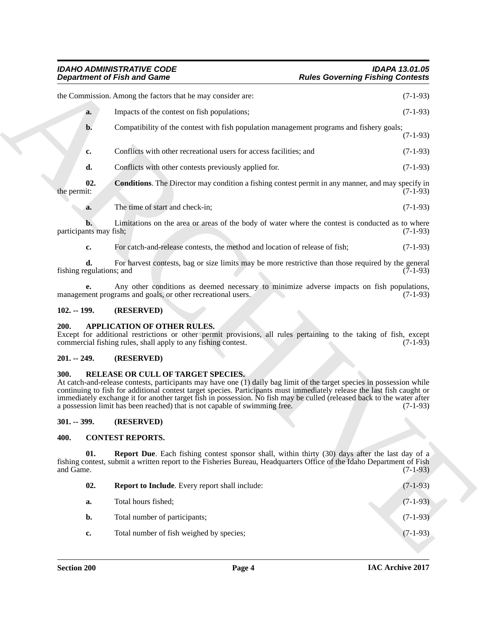|                                | <b>Department of Fish and Game</b>                                                                                                                                                                                                                                                                                                                                                                                                                                                              | <b>Rules Governing Fishing Contests</b>              |
|--------------------------------|-------------------------------------------------------------------------------------------------------------------------------------------------------------------------------------------------------------------------------------------------------------------------------------------------------------------------------------------------------------------------------------------------------------------------------------------------------------------------------------------------|------------------------------------------------------|
|                                | the Commission. Among the factors that he may consider are:                                                                                                                                                                                                                                                                                                                                                                                                                                     | $(7-1-93)$                                           |
| a.                             | Impacts of the contest on fish populations;                                                                                                                                                                                                                                                                                                                                                                                                                                                     | $(7-1-93)$                                           |
| $\mathbf{b}$ .                 | Compatibility of the contest with fish population management programs and fishery goals;                                                                                                                                                                                                                                                                                                                                                                                                        | $(7-1-93)$                                           |
| c.                             | Conflicts with other recreational users for access facilities; and                                                                                                                                                                                                                                                                                                                                                                                                                              | $(7-1-93)$                                           |
| d.                             | Conflicts with other contests previously applied for.                                                                                                                                                                                                                                                                                                                                                                                                                                           | $(7-1-93)$                                           |
| 02.<br>the permit:             | <b>Conditions</b> . The Director may condition a fishing contest permit in any manner, and may specify in                                                                                                                                                                                                                                                                                                                                                                                       | $(7-1-93)$                                           |
| a.                             | The time of start and check-in;                                                                                                                                                                                                                                                                                                                                                                                                                                                                 | $(7-1-93)$                                           |
| participants may fish;         | Limitations on the area or areas of the body of water where the contest is conducted as to where                                                                                                                                                                                                                                                                                                                                                                                                | $(7-1-93)$                                           |
| c.                             | For catch-and-release contests, the method and location of release of fish;                                                                                                                                                                                                                                                                                                                                                                                                                     | $(7-1-93)$                                           |
| d.<br>fishing regulations; and | For harvest contests, bag or size limits may be more restrictive than those required by the general                                                                                                                                                                                                                                                                                                                                                                                             | $(7-1-93)$                                           |
| e.                             | Any other conditions as deemed necessary to minimize adverse impacts on fish populations,<br>management programs and goals, or other recreational users.                                                                                                                                                                                                                                                                                                                                        | $(7-1-93)$                                           |
| $102. - 199.$                  | (RESERVED)                                                                                                                                                                                                                                                                                                                                                                                                                                                                                      |                                                      |
| 200.                           | <b>APPLICATION OF OTHER RULES.</b><br>Except for additional restrictions or other permit provisions, all rules pertaining to the taking of fish, except<br>commercial fishing rules, shall apply to any fishing contest.                                                                                                                                                                                                                                                                        | $(7-1-93)$                                           |
|                                |                                                                                                                                                                                                                                                                                                                                                                                                                                                                                                 |                                                      |
| $201. - 249.$                  | (RESERVED)                                                                                                                                                                                                                                                                                                                                                                                                                                                                                      |                                                      |
| <b>300.</b>                    | RELEASE OR CULL OF TARGET SPECIES.<br>At catch-and-release contests, participants may have one (1) daily bag limit of the target species in possession while<br>continuing to fish for additional contest target species. Participants must immediately release the last fish caught or<br>immediately exchange it for another target fish in possession. No fish may be culled (released back to the water after<br>a possession limit has been reached) that is not capable of swimming free. |                                                      |
| $301. - 399.$                  | (RESERVED)                                                                                                                                                                                                                                                                                                                                                                                                                                                                                      |                                                      |
| 400.                           | <b>CONTEST REPORTS.</b>                                                                                                                                                                                                                                                                                                                                                                                                                                                                         |                                                      |
| 01.<br>and Game.               | <b>Report Due.</b> Each fishing contest sponsor shall, within thirty (30) days after the last day of a<br>fishing contest, submit a written report to the Fisheries Bureau, Headquarters Office of the Idaho Department of Fish                                                                                                                                                                                                                                                                 |                                                      |
| 02.                            | Report to Include. Every report shall include:                                                                                                                                                                                                                                                                                                                                                                                                                                                  |                                                      |
| a.                             | Total hours fished;                                                                                                                                                                                                                                                                                                                                                                                                                                                                             | $(7-1-93)$<br>$(7-1-93)$<br>$(7-1-93)$<br>$(7-1-93)$ |
| b.                             | Total number of participants;                                                                                                                                                                                                                                                                                                                                                                                                                                                                   | $(7-1-93)$                                           |

### <span id="page-3-10"></span><span id="page-3-0"></span>**102. -- 199. (RESERVED)**

### <span id="page-3-6"></span><span id="page-3-1"></span>**200. APPLICATION OF OTHER RULES.**

### <span id="page-3-2"></span>**201. -- 249. (RESERVED)**

### <span id="page-3-11"></span><span id="page-3-3"></span>**300. RELEASE OR CULL OF TARGET SPECIES.**

### <span id="page-3-4"></span>**301. -- 399. (RESERVED)**

### <span id="page-3-7"></span><span id="page-3-5"></span>**400. CONTEST REPORTS.**

<span id="page-3-9"></span><span id="page-3-8"></span>

| 02. | <b>Report to Include.</b> Every report shall include: | $(7-1-93)$ |
|-----|-------------------------------------------------------|------------|
| a.  | Total hours fished:                                   | $(7-1-93)$ |
| b.  | Total number of participants;                         | $(7-1-93)$ |
| c.  | Total number of fish weighed by species;              | $(7-1-93)$ |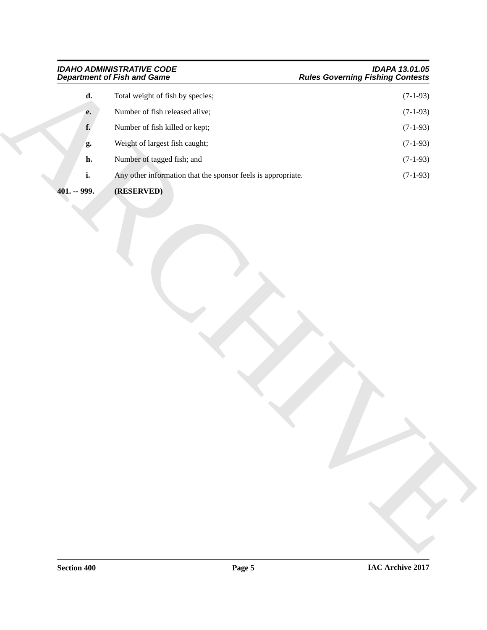# <span id="page-4-0"></span>*Department of Fish and Game Rules Governing Fishing Contests*

| <b>IDAHO ADMINISTRATIVE CODE</b> | <b>IDAPA 13.01.05</b>                   |
|----------------------------------|-----------------------------------------|
| Denartment of Eich and Came      | <b>Pulas Coverning Eishing Contests</b> |

|                | <b>Department of Fish and Game</b>                           | <b>Rules Governing Fishing Contests</b> |
|----------------|--------------------------------------------------------------|-----------------------------------------|
| $\mathbf{d}$ . | Total weight of fish by species;                             | $(7-1-93)$                              |
| ${\bf e}.$     | Number of fish released alive;                               | $(7-1-93)$                              |
| f.             | Number of fish killed or kept;                               | $(7-1-93)$                              |
| g.             | Weight of largest fish caught;                               | $(7-1-93)$                              |
| h.             | Number of tagged fish; and                                   | $(7-1-93)$                              |
| i.             | Any other information that the sponsor feels is appropriate. | $(7-1-93)$                              |
| $401. - 999.$  | (RESERVED)                                                   |                                         |